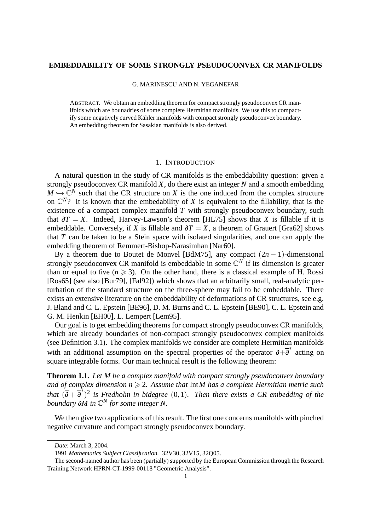## **EMBEDDABILITY OF SOME STRONGLY PSEUDOCONVEX CR MANIFOLDS**

G. MARINESCU AND N. YEGANEFAR

ABSTRACT. We obtain an embedding theorem for compact strongly pseudoconvexCR manifolds which are bounadries of some complete Hermitian manifolds. We use this to compactify some negatively curved Kähler manifolds with compact strongly pseudoconvex boundary. An embedding theorem for Sasakian manifolds is also derived.

## 1. INTRODUCTION

A natural question in the study of CR manifolds is the embeddability question: given a strongly pseudoconvex CR manifold *X*, do there exist an integer *N* and a smooth embedding  $M \hookrightarrow \mathbb{C}^N$  such that the CR structure on *X* is the one induced from the complex structure on  $\mathbb{C}^N$ ? It is known that the embedability of *X* is equivalent to the fillability, that is the existence of a compact complex manifold *T* with strongly pseudoconvex boundary, such that  $\partial T = X$ . Indeed, Harvey-Lawson's theorem [HL75] shows that *X* is fillable if it is embeddable. Conversely, if *X* is fillable and  $\partial T = X$ , a theorem of Grauert [Gra62] shows that *T* can be taken to be a Stein space with isolated singularities, and one can apply the embedding theorem of Remmert-Bishop-Narasimhan [Nar60].

By a theorem due to Boutet de Monvel [BdM75], any compact  $(2n - 1)$ -dimensional strongly pseudoconvex CR manifold is embeddable in some  $\mathbb{C}^N$  if its dimension is greater than or equal to five  $(n \ge 3)$ . On the other hand, there is a classical example of H. Rossi [Ros65] (see also [Bur79], [Fal92]) which shows that an arbitrarily small, real-analytic perturbation of the standard structure on the three-sphere may fail to be embeddable. There exists an extensive literature on the embeddability of deformations of CR structures, see e.g. J. Bland and C. L. Epstein [BE96], D. M. Burns and C. L. Epstein [BE90], C. L. Epstein and G. M. Henkin [EH00], L. Lempert [Lem95].

Our goal is to get embedding theorems for compact strongly pseudoconvex CR manifolds, which are already boundaries of non-compact strongly pseudoconvex complex manifolds (see Definition 3.1). The complex manifolds we consider are complete Hermitian manifolds with an additional assumption on the spectral properties of the operator  $\bar{\partial} + \bar{\partial}^*$  acting on square integrable forms. Our main technical result is the following theorem:

**Theorem 1.1.** *Let M be a complex manifold with compact strongly pseudoconvex boundary and of complex dimension*  $n \geq 2$ *. Assume that* Int*M has a complete Hermitian metric such*  $t$ hat  $(\overline{\partial} + \overline{\partial}^*)^2$  is Fredholm in bidegree  $(0,1)$ . Then there exists a CR embedding of the *boundary* ∂*M in* C *<sup>N</sup> for some integer N.*

We then give two applications of this result. The first one concerns manifolds with pinched negative curvature and compact strongly pseudoconvex boundary.

*Date*: March 3, 2004.

<sup>1991</sup> *Mathematics Subject Classification.* 32V30, 32V15, 32Q05.

The second-named author has been (partially) supported by the European Commission through the Research Training Network HPRN-CT-1999-00118 "Geometric Analysis".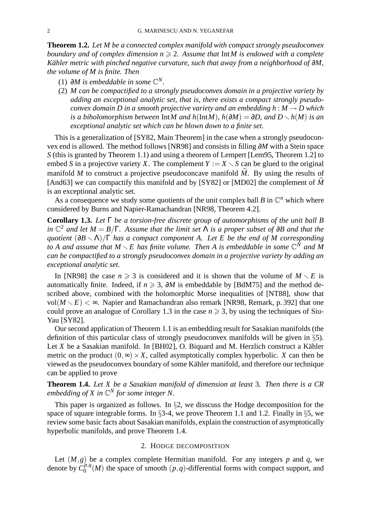**Theorem 1.2.** *Let M be a connected complex manifold with compact strongly pseudoconvex boundary* and *of complex* dimension  $n \ge 2$ . Assume that IntM is endowed with a complete *Kahler ¨ metric with pinched negative curvature, such that away from a neighborhood of* ∂*M, the volume of M is finite. Then*

- (1)  $∂M$  *is embeddable in some*  $\mathbb{C}^N$ *.*
- (2) *M can be compactified to a strongly pseudoconvex domain in a projective variety by adding an exceptional analytic set, that is, there exists a compact strongly pseudoconvex domain D in a smooth projective variety and an embedding*  $h : M \to D$  *which is a biholomorphism between* Int*M and*  $h(\text{Int}M)$ *,*  $h(\partial M) = \partial D$ *, and*  $D \setminus h(M)$  *is an exceptional analytic set which can be blown down to a finite set.*

This is a generalization of [SY82, Main Theorem] in the case when a strongly pseudoconvex end is allowed. The method follows [NR98] and consists in filling ∂*M* with a Stein space *S* (this is granted by Theorem 1.1) and using a theorem of Lempert [Lem95, Theorem 1.2] to embed *S* in a projective variety *X*. The complement  $Y := X \setminus S$  can be glued to the original manifold M to construct a projective pseudoconcave manifold  $\hat{M}$ . By using the results of [And63] we can compactify this manifold and by [SY82] or [MD02] the complement of  $\hat{M}$ is an exceptional analytic set.

As a consequence we study some quotients of the unit complex ball  $B$  in  $\mathbb{C}^n$  which where considered by Burns and Napier-Ramachandran [NR98, Theorem 4.2].

**Corollary 1.3.** *Let* Γ *be a torsion-free discrete group of automorphisms of the unit ball B* in  $\mathbb{C}^2$  and let  $M = B/\Gamma$ . Assume that the limit set  $\Lambda$  is a proper subset of  $\partial B$  and that the *guotient*  $(\partial B \setminus \Lambda)/\Gamma$  *has a compact component A.* Let *E be the end of M corresponding to A* and assume that  $M \setminus E$  *has finite volume. Then A* is embeddable in some  $\mathbb{C}^N$  and *M can be compactified to a strongly pseudoconvex domain in a projective variety by adding an exceptional analytic set.*

In [NR98] the case  $n \ge 3$  is considered and it is shown that the volume of  $M \setminus E$  is automatically finite. Indeed, if  $n \geq 3$ ,  $\partial M$  is embeddable by [BdM75] and the method described above, combined with the holomorphic Morse inequalities of [NT88], show that vol $(M \setminus E)$  <  $\infty$ . Napier and Ramachandran also remark [NR98, Remark, p. 392] that one could prove an analogue of Corollary 1.3 in the case  $n \geq 3$ , by using the techniques of Siu-Yau [SY82].

Our second application of Theorem 1.1 is an embedding result for Sasakian manifolds(the definition of this particular class of strongly pseudoconvex manifolds will be given in §5). Let  $X$  be a Sasakian manifold. In [BH02], O. Biquard and M. Herzlich construct a Kähler metric on the product  $(0, \infty) \times X$ , called asymptotically complex hyperbolic. *X* can then be viewed as the pseudoconvex boundary of some Kähler manifold, and therefore our technique can be applied to prove

**Theorem 1.4.** *Let X be a Sasakian manifold of dimension at least* 3*. Then there is a CR embedding of X in* C *<sup>N</sup> for some integer N.*

This paper is organized as follows. In  $\S2$ , we disscuss the Hodge decomposition for the space of square integrable forms. In §3-4, we prove Theorem 1.1 and 1.2. Finally in §5, we review some basic facts about Sasakian manifolds, explain the construction of asymptotically hyperbolic manifolds, and prove Theorem 1.4.

## 2. HODGE DECOMPOSITION

Let  $(M, g)$  be a complex complete Hermitian manifold. For any integers p and q, we denote by  $C_0^{p,q}$  $\binom{p,q}{0}$  the space of smooth  $(p,q)$ -differential forms with compact support, and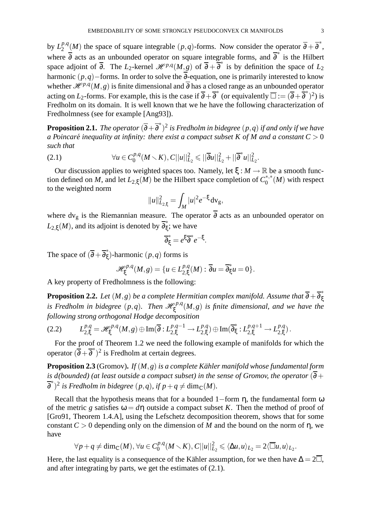by  $L_2^{p,q}$  $2^{p,q}(M)$  the space of square integrable  $(p,q)$ -forms. Now consider the operator  $\overline{\partial} + \overline{\partial}^*$ , where  $\overline{\partial}$  acts as an unbounded operator on square integrable forms, and  $\overline{\partial}^*$  is the Hilbert space adjoint of  $\overline{\partial}$ . The *L*<sub>2</sub>-kernel  $\mathcal{H}^{p,q}(M,g)$  of  $\overline{\partial} + \overline{\partial}^*$  is by definition the space of *L*<sub>2</sub> harmonic (*p*,*q*)−forms. In order to solve the ∂-equation, one is primarily interested to know whether  $\mathcal{H}^{p,q}(M,g)$  is finite dimensional and  $\overline{\partial}$  has a closed range as an unbounded operator acting on *L*<sub>2</sub>-forms. For example, this is the case if  $\overline{\partial} + \overline{\partial}^*$  (or equivalently  $\overline{\Box} := (\overline{\partial} + \overline{\partial}^*)^2$ ) is Fredholm on its domain. It is well known that we he have the following characterization of Fredholmness (see for example [Ang93]).

 ${\bf Proposition 2.1.}$  The operator  $(\overline{\partial} + \overline{\partial}^{*})^{2}$  is Fredholm in bidegree  $(p,q)$  if and only if we have *a* Poincaré inequality at infinity: there exist a compact subset K of M and a constant  $C > 0$ *such that*

(2.1) 
$$
\forall u \in C_0^{p,q}(M \setminus K), C||u||_{L_2}^2 \le ||\overline{\partial}u||_{L_2}^2 + ||\overline{\partial}^*u||_{L_2}^2.
$$

Our discussion applies to weighted spaces too. Namely, let  $\xi : M \to \mathbb{R}$  be a smooth function defined on *M*, and let  $L_{2,\xi}(M)$  be the Hilbert space completion of  $C_0^{*,*}(M)$  with respect to the weighted norm

$$
||u||_{L_{2,\xi}}^2 = \int_M |u|^2 e^{-\xi} dv_g,
$$

where dv<sub>g</sub> is the Riemannian measure. The operator  $\overline{\partial}$  acts as an unbounded operator on  $L_{2,\xi}(M)$ , and its adjoint is denoted by  $\overline{\partial_{\xi}^*}$ ; we have

$$
\overline{\partial}_{\xi}^* = e^{\xi} \overline{\partial}^* e^{-\xi}.
$$

The space of  $(\overline{\partial} + \overline{\partial}_{\xi}^{*})$ -harmonic  $(p, q)$  forms is

$$
\mathcal{H}^{p,q}_{\xi}(M,g) = \{u \in L^{p,q}_{2,\xi}(M) : \overline{\partial}u = \overline{\partial}^*_{\xi}u = 0\}.
$$

A key property of Fredholmness is the following:

**Proposition 2.2.** Let  $(M, g)$  be a complete Hermitian complex manifold. Assume that  $\overline{\partial} + \overline{\partial}^*_{\xi}$ <br>is Fredholm in bidegree  $(p, q)$ . Then  $\mathcal{H}^{p,q}_{\xi}(M,g)$  is finite dimensional, and we have the *following strong orthogonal Hodge decomposition*

$$
(2.2) \qquad L_{2,\xi}^{p,q} = \mathscr{H}_{\xi}^{p,q}(M,g) \oplus \operatorname{Im}(\overline{\partial}: L_{2,\xi}^{p,q-1} \to L_{2,\xi}^{p,q}) \oplus \operatorname{Im}(\overline{\partial}_{\xi}^{*}: L_{2,\xi}^{p,q+1} \to L_{2,\xi}^{p,q}).
$$

For the proof of Theorem 1.2 we need the following example of manifolds for which the operator  $(\overline{\partial} + \overline{\partial}^*)^2$  is Fredholm at certain degrees.

**Proposition 2.3** (Gromov). *If*  $(M, g)$  *is a complete Kähler manifold whose fundamental form is d*(*bounded*) (*at least outside a compact subset*) *in the sense of Gromov, the operator* ( $\overline{\partial}$  +  $\overline{\partial}^*$ <sup>2</sup> is Fredholm in bidegree  $(p,q)$ , if  $p+q \neq \dim_{\mathbb{C}}(M)$ .

Recall that the hypothesis means that for a bounded  $1$ −form  $\eta$ , the fundamental form  $\omega$ of the metric *g* satisfies  $\omega = d\eta$  outside a compact subset *K*. Then the method of proof of [Gro91, Theorem 1.4.A], using the Lefschetz decomposition theorem, shows that for some constant  $C > 0$  depending only on the dimension of *M* and the bound on the norm of  $\eta$ , we have

$$
\forall p + q \neq \dim_{\mathbb{C}}(M), \forall u \in C_0^{p,q}(M \setminus K), C||u||_{L_2}^2 \leq \langle \Delta u, u \rangle_{L_2} = 2\langle \overline{\Box} u, u \rangle_{L_2}.
$$

Here, the last equality is a consequence of the Kähler assumption, for we then have  $\Delta = 2\overline{\Box}$ , and after integrating by parts, we get the estimates of (2.1).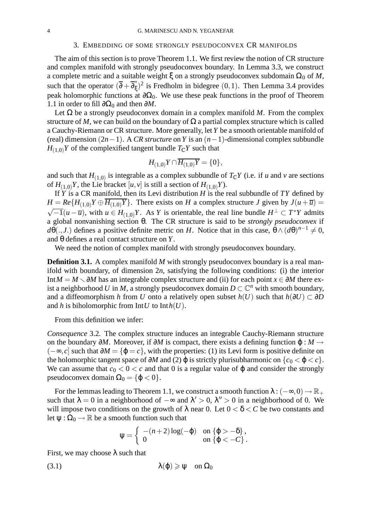### 3. EMBEDDING OF SOME STRONGLY PSEUDOCONVEX CR MANIFOLDS

The aim of this section is to prove Theorem 1.1. We first review the notion of CR structure and complex manifold with strongly pseudoconvex boundary. In Lemma 3.3, we construct a complete metric and a suitable weight  $\xi$  on a strongly pseudoconvex subdomain  $\Omega_0$  of M, such that the operator  $(\overline{\partial} + \overline{\partial}_{\xi}^*)^2$  is Fredholm in bidegree  $(0,1)$ . Then Lemma 3.4 provides peak holomorphic functions at  $\partial\Omega_0$ . We use these peak functions in the proof of Theorem 1.1 in order to fill  $\partial\Omega_0$  and then  $\partial M$ .

Let  $\Omega$  be a strongly pseudoconvex domain in a complex manifold *M*. From the complex structure of *M*, we can build on the boundary of  $\Omega$  a partial complex structure which is called a Cauchy-Riemann or CR structure. More generally, let *Y* be a smooth orientable manifold of (real) dimension (2*n*−1). A *CR structure* on *Y* is an (*n*−1)-dimensional complex subbundle  $H_{(1,0)}Y$  of the complexified tangent bundle  $T_{\mathbb{C}}Y$  such that

$$
H_{(1,0)}Y\cap\overline{H_{(1,0)}Y}=\{0\},\,
$$

and such that  $H_{(1,0)}$  is integrable as a complex subbundle of  $T_{\mathbb{C}}Y$  (i.e. if *u* and *v* are sections of  $H_{(1,0)}Y$ , the Lie bracket  $[u, v]$  is still a section of  $H_{(1,0)}Y$ .

If *Y* is a CR manifold, then its Levi distribution *H* is the real subbundle of *TY* defined by  $H = Re\{H_{(1,0)}Y \oplus \overline{H_{(1,0)}Y}\}$ . There exists on *H* a complex structure *J* given by  $J(u + \overline{u}) =$  $-1(u-\overline{u})$ , with  $u \in H_{(1,0)}Y$ . As *Y* is orientable, the real line bundle  $H^{\perp} \subset T^*Y$  admits a global nonvanishing section θ. The CR structure is said to be *strongly pseudoconvex* if  $d\theta(., J.)$  defines a positive definite metric on *H*. Notice that in this case,  $\theta \wedge (d\theta)^{n-1} \neq 0$ , and θ defines a real contact structure on *Y*.

We need the notion of complex manifold with strongly pseudoconvex boundary.

**Definition 3.1.** A complex manifold *M* with strongly pseudoconvex boundary is a real manifold with boundary, of dimension 2*n*, satisfying the following conditions: (i) the interior Int $M = M \setminus \partial M$  has an integrable complex structure and (ii) for each point  $x \in \partial M$  there exist a neighborhood *U* in *M*, a strongly pseudoconvex domain  $D \subset \mathbb{C}^n$  with smooth boundary, and a diffeomorphism *h* from *U* onto a relatively open subset  $h(U)$  such that  $h(\partial U) \subset \partial D$ and *h* is biholomorphic from  $IntU$  to  $Inth(U)$ .

From this definition we infer:

*Consequence* 3.2*.* The complex structure induces an integrable Cauchy-Riemann structure on the boundary ∂*M*. Moreover, if ∂*M* is compact, there exists a defining function ϕ : *M* →  $(-\infty, c]$  such that  $\partial M = {\phi = c}$ , with the properties: (1) its Levi form is positive definite on the holomorphic tangent space of  $\partial M$  and (2)  $\varphi$  is strictly plurisubharmonic on  $\{c_0 < \varphi < c\}$ . We can assume that  $c_0 < 0 < c$  and that 0 is a regular value of  $\varphi$  and consider the strongly pseudoconvex domain  $\Omega_0 = \{\varphi < 0\}.$ 

For the lemmas leading to Theorem 1.1, we construct a smooth function  $\lambda: (-\infty,0) \to \mathbb{R}_+$ such that  $\lambda = 0$  in a neighborhood of  $-\infty$  and  $\lambda' > 0$ ,  $\lambda'' > 0$  in a neighborhood of 0. We will impose two conditions on the growth of  $\lambda$  near 0. Let  $0 < \delta < C$  be two constants and let  $\psi$  :  $\Omega_0 \rightarrow \mathbb{R}$  be a smooth function such that

$$
\psi = \left\{ \begin{array}{ll} -(n+2)\log(-\phi) & \textrm{on } \{\phi > -\delta\}\,, \\ 0 & \textrm{on } \{\phi < -C\}\,. \end{array} \right.
$$

First, we may choose  $\lambda$  such that

(3.1) 
$$
\lambda(\phi) \geqslant \psi \quad \text{on } \Omega_0
$$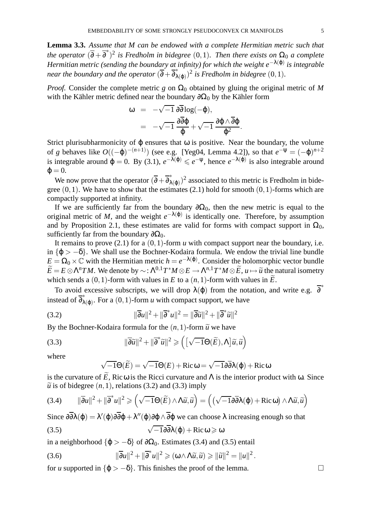**Lemma 3.3.** *Assume that M can be endowed with a complete Hermitian metric such that the operator*  $(\overline{\partial} + \overline{\partial}^*)^2$  *is Fredholm in bidegree*  $(0,1)$ *. Then there exists on*  $\Omega_0$  *a complete Hermitian metric (sending the boundary at infinity) for which the weight e* −λ(ϕ) *is integrable near the boundary and the operator*  $(\overline{\partial} + \overline{\partial}_{\lambda(\varphi)}^*)^2$  *is Fredholm in bidegree*  $(0,1)$ *.* 

*Proof.* Consider the complete metric *g* on  $\Omega_0$  obtained by gluing the original metric of *M* with the Kähler metric defined near the boundary  $\partial \Omega_0$  by the Kähler form

$$
\begin{array}{lcl} \omega & = & -\sqrt{-1} \, \partial \overline{\partial} \log (-\phi), \\ & = & -\sqrt{-1} \, \frac{\partial \overline{\partial} \phi}{\phi} + \sqrt{-1} \, \frac{\partial \phi \wedge \overline{\partial} \phi}{\phi^2}. \end{array}
$$

Strict plurisubharmonicity of  $\varphi$  ensures that  $\omega$  is positive. Near the boundary, the volume of *g* behaves like  $O((-\varphi)^{-(n+1)})$  (see e.g. [Yeg04, Lemma 4.2]), so that  $e^{-\psi} = (-\varphi)^{n+2}$ is integrable around  $\varphi = 0$ . By (3.1),  $e^{-\lambda(\varphi)} \leq e^{-\psi}$ , hence  $e^{-\lambda(\varphi)}$  is also integrable around  $\varphi = 0.$ 

We now prove that the operator  $(\overline{\partial} + \overline{\partial}^*_{\lambda(\varphi)})^2$  associated to this metric is Fredholm in bidegree  $(0,1)$ . We have to show that the estimates  $(2.1)$  hold for smooth  $(0,1)$ -forms which are compactly supported at infinity.

If we are sufficiently far from the boundary  $\partial\Omega_0$ , then the new metric is equal to the original metric of *M*, and the weight  $e^{-\lambda(\varphi)}$  is identically one. Therefore, by assumption and by Proposition 2.1, these estimates are valid for forms with compact support in  $\Omega_0$ , sufficiently far from the boundary  $\partial\Omega_0$ .

It remains to prove (2.1) for a (0,1)-form *u* with compact support near the boundary, i.e. in  $\{\phi > -\delta\}$ . We shall use the Bochner-Kodaira formula. We endow the trivial line bundle  $E = \Omega_0 \times \mathbb{C}$  with the Hermitian metric  $h = e^{-\lambda(\phi)}$ . Consider the holomorphic vector bundle  $\widetilde{E} = E \otimes \Lambda^n TM$ . We denote by ~:  $\Lambda^{0,1}T^*M \otimes E \to \Lambda^{n,1}T^*M \otimes \widetilde{E}$ ,  $u \mapsto \widetilde{u}$  the natural isometry which sends a  $(0,1)$ -form with values in *E* to a  $(n,1)$ -form with values in  $\widetilde{E}$ .

To avoid excessive subscripts, we will drop  $\lambda(\varphi)$  from the notation, and write e.g.  $\overline{\partial}^*$ instead of  $\overline{\partial}_{\lambda(\varphi)}^*$ . For a (0, 1)-form *u* with compact support, we have

(3.2) 
$$
\|\overline{\partial}u\|^2 + \|\overline{\partial}^*u\|^2 = \|\overline{\partial}\widetilde{u}\|^2 + \|\overline{\partial}^*\widetilde{u}\|^2
$$

By the Bochner-Kodaira formula for the  $(n,1)$ -form  $\tilde{u}$  we have

(3.3) 
$$
\|\overline{\partial}\widetilde{u}\|^2 + \|\overline{\partial}^*\widetilde{u}\|^2 \geqslant \left(\left[\sqrt{-1}\Theta(\widetilde{E}), \Lambda\right]\widetilde{u}, \widetilde{u}\right)
$$

where

$$
\sqrt{-1}\Theta(\widetilde{E}) = \sqrt{-1}\Theta(E) + \text{Ric}\,\omega = \sqrt{-1}\partial\overline{\partial}\lambda(\varphi) + \text{Ric}\,\omega
$$

is the curvature of *E*, Ricω is the Ricci curvature and  $Λ$  is the interior product with ω. Since  $\tilde{u}$  is of bidegree  $(n,1)$ , relations (3.2) and (3.3) imply

(3.4) 
$$
\|\overline{\partial}u\|^2 + \|\overline{\partial}^*u\|^2 \geqslant \left(\sqrt{-1}\Theta(\widetilde{E}) \wedge \Lambda \widetilde{u}, \widetilde{u}\right) = \left(\left(\sqrt{-1}\partial \overline{\partial} \lambda(\varphi) + \text{Ric}\,\omega\right) \wedge \Lambda \widetilde{u}, \widetilde{u}\right)
$$

Since  $\partial \partial \lambda(\varphi) = \lambda'(\varphi) \partial \varphi + \lambda''(\varphi) \partial \varphi \wedge \partial \varphi$  we can choose  $\lambda$  increasing enough so that

(3.5) 
$$
\sqrt{-1}\partial\overline{\partial}\lambda(\varphi) + \text{Ric}\,\omega \geqslant \omega
$$

in a neighborhood  $\{\varphi > -\delta\}$  of  $\partial\Omega_0$ . Estimates (3.4) and (3.5) entail

(3.6) 
$$
\|\overline{\partial}u\|^2 + \|\overline{\partial}^*u\|^2 \geqslant (\omega \wedge \Lambda \widetilde{u}, \widetilde{u}) \geqslant \|\widetilde{u}\|^2 = \|u\|^2.
$$

for *u* supported in  $\{\phi > -\delta\}$ . This finishes the proof of the lemma.  $□$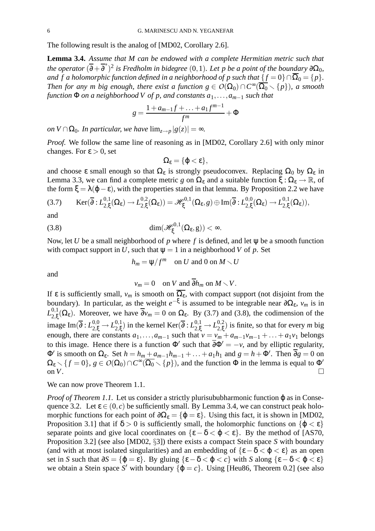The following result is the analog of [MD02, Corollary 2.6].

**Lemma 3.4.** *Assume that M can be endowed with a complete Hermitian metric such that*  $\int$  *the operator*  $(\overline{\partial} + \overline{\partial}^*)^2$  *is Fredholm in bidegree*  $(0,1)$ *. Let p be a point of the boundary*  $\partial\Omega_0$ *, and*  $\overline{f}$  *a holomorphic function defined in a neighborhood of*  $p$  *such that*  $\{f = 0\} \cap \overline{\Omega}_0 = \{p\}$ *. Then for any m big enough, there exist a function*  $g \in O(\Omega_0) \cap C^{\infty}(\overline{\Omega_0} \setminus \{p\})$ , *a smooth function*  $\Phi$  *on a neighborhood*  $V$  *of*  $p$ *, and constants*  $a_1, \ldots, a_{m-1}$  *such that* 

$$
g = \frac{1 + a_{m-1}f + \dots + a_1f^{m-1}}{f^m} + \Phi
$$

*on*  $V \cap \Omega_0$ *. In particular, we have*  $\lim_{z \to p} |g(z)| = \infty$ *.* 

*Proof.* We follow the same line of reasoning as in [MD02, Corollary 2.6] with only minor changes. For  $\varepsilon > 0$ , set

$$
\Omega_{\epsilon}=\{\varphi<\epsilon\},
$$

and choose  $\varepsilon$  small enough so that  $\Omega_{\varepsilon}$  is strongly pseudoconvex. Replacing  $\Omega_0$  by  $\Omega_{\varepsilon}$  in Lemma 3.3, we can find a complete metric *g* on  $\Omega_{\epsilon}$  and a suitable function  $\xi : \Omega_{\epsilon} \to \mathbb{R}$ , of the form  $\xi = \lambda(\varphi - \varepsilon)$ , with the properties stated in that lemma. By Proposition 2.2 we have

$$
(3.7) \qquad \operatorname{Ker}(\overline{\partial}:L_{2,\xi}^{0,1}(\Omega_{\epsilon})\to L_{2,\xi}^{0,2}(\Omega_{\epsilon}))=\mathscr{H}_{\xi}^{0,1}(\Omega_{\epsilon},g)\oplus \operatorname{Im}(\overline{\partial}:L_{2,\xi}^{0,0}(\Omega_{\epsilon})\to L_{2,\xi}^{0,1}(\Omega_{\epsilon})),
$$

and

(3.8) 
$$
\dim(\mathscr{H}_{\xi}^{0,1}(\Omega_{\epsilon},g)) < \infty.
$$

Now, let *U* be a small neighborhood of *p* where *f* is defined, and let ψ be a smooth function with compact support in *U*, such that  $\Psi = 1$  in a neighborhood *V* of *p*. Set

$$
h_m = \Psi/f^m \quad \text{on } U \text{ and } 0 \text{ on } M \setminus U
$$

and

$$
v_m = 0 \quad \text{on } V \text{ and } \overline{\partial} h_m \text{ on } M \setminus V.
$$

If ε is sufficiently small,  $v_m$  is smooth on  $\overline{\Omega_{\varepsilon}}$ , with compact support (not disjoint from the boundary). In particular, as the weight  $e^{-\xi}$  is assumed to be integrable near  $\partial\Omega_{\epsilon}$ ,  $v_m$  is in  $L_{2}^{0,1}$  $2_{2,\xi}^{0,1}(\Omega_{\varepsilon})$ . Moreover, we have  $\partial v_m = 0$  on  $\Omega_{\varepsilon}$ . By (3.7) and (3.8), the codimension of the image Im( $\overline{\partial}: L^{0,0}_{2,\xi} \to L^{0,1}_{2,\xi}$  $2,\xi$ ) in the kernel Ker( $\overline{\partial}: L_{2,\xi}^{0,1} \to L_{2,\xi}^{0,2}$  $_{2,\xi}^{0,2}$ ) is finite, so that for every *m* big enough, there are constants  $a_1, \ldots, a_{m-1}$  such that  $v = v_m + a_{m-1}v_{m-1} + \ldots + a_1v_1$  belongs to this image. Hence there is a function  $\Phi'$  such that  $\partial \Phi' = -\nu$ , and by elliptic regularity,  $\Phi'$  is smooth on  $\Omega_{\epsilon}$ . Set  $h = h_m + a_{m-1}h_{m-1} + \ldots + a_1h_1$  and  $g = h + \Phi'$ . Then  $\partial g = 0$  on  $\Omega_{\epsilon} \setminus \{f = 0\}, g \in O(\Omega_0) \cap C^{\infty}(\overline{\Omega_0} \setminus \{p\})$ , and the function  $\Phi$  in the lemma is equal to  $\Phi'$ on  $V$ .

We can now prove Theorem 1.1.

*Proof of Theorem 1.1.* Let us consider a strictly plurisububharmonic function ϕ as in Consequence 3.2. Let  $\varepsilon \in (0, c)$  be sufficiently small. By Lemma 3.4, we can construct peak holomorphic functions for each point of  $\partial\Omega_{\epsilon} = {\varphi = \epsilon}$ . Using this fact, it is shown in [MD02, Proposition 3.1] that if  $\delta > 0$  is sufficiently small, the holomorphic functions on  $\{\varphi < \varepsilon\}$ separate points and give local coordinates on  $\{\epsilon - \delta < \varphi < \epsilon\}$ . By the method of [AS70, Proposition 3.2] (see also [MD02, §3]) there exists a compact Stein space *S* with boundary (and with at most isolated singularities) and an embedding of  $\{\epsilon - \delta < \varphi < \epsilon\}$  as an open set in *S* such that  $\partial S = {\varphi = \varepsilon}$ . By gluing  ${\varepsilon - \delta < \varphi < \varepsilon}$  with *S* along  ${\varepsilon - \delta < \varphi < \varepsilon}$ we obtain a Stein space *S'* with boundary  $\{\varphi = c\}$ . Using [Heu86, Theorem 0.2] (see also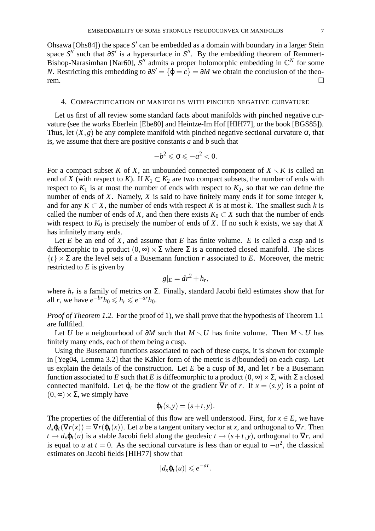Ohsawa [Ohs84]) the space  $S'$  can be embedded as a domain with boundary in a larger Stein space *S*<sup>"</sup> such that ∂*S*<sup>'</sup> is a hypersurface in *S*". By the embedding theorem of Remmert-Bishop-Narasimhan [Nar60],  $S''$  admits a proper holomorphic embedding in  $\mathbb{C}^N$  for some *N*. Restricting this embedding to  $\partial S' = {\phi = c} = \partial M$  we obtain the conclusion of the theorem.  $\Box$ 

### 4. COMPACTIFICATION OF MANIFOLDS WITH PINCHED NEGATIVE CURVATURE

Let us first of all review some standard facts about manifolds with pinched negative curvature (see the works Eberlein [Ebe80] and Heintze-Im Hof [HIH77], or the book [BGS85]). Thus, let  $(X, g)$  be any complete manifold with pinched negative sectional curvature  $\sigma$ , that is, we assume that there are positive constants *a* and *b* such that

$$
-b^2 \leqslant \sigma \leqslant -a^2 < 0.
$$

For a compact subset *K* of *X*, an unbounded connected component of  $X \setminus K$  is called an end of *X* (with respect to *K*). If  $K_1 \subset K_2$  are two compact subsets, the number of ends with respect to  $K_1$  is at most the number of ends with respect to  $K_2$ , so that we can define the number of ends of *X*. Namely, *X* is said to have finitely many ends if for some integer *k*, and for any  $K \subset X$ , the number of ends with respect K is at most k. The smallest such k is called the number of ends of *X*, and then there exists  $K_0 \subset X$  such that the number of ends with respect to  $K_0$  is precisely the number of ends of  $X$ . If no such  $k$  exists, we say that  $X$ has infinitely many ends.

Let  $E$  be an end of  $X$ , and assume that  $E$  has finite volume.  $E$  is called a cusp and is diffeomorphic to a product  $(0, \infty) \times \Sigma$  where  $\Sigma$  is a connected closed manifold. The slices  ${t} \times \Sigma$  are the level sets of a Busemann function *r* associated to *E*. Moreover, the metric restricted to *E* is given by

$$
g|_E = dr^2 + h_r,
$$

where  $h_r$  is a family of metrics on  $\Sigma$ . Finally, standard Jacobi field estimates show that for all *r*, we have  $e^{-br}h_0 \le h_r \le e^{-ar}h_0$ .

*Proof of Theorem 1.2.* For the proof of 1), we shall prove that the hypothesis of Theorem 1.1 are fullfiled.

Let *U* be a neigbourhood of ∂*M* such that  $M \setminus U$  has finite volume. Then  $M \setminus U$  has finitely many ends, each of them being a cusp.

Using the Busemann functions associated to each of these cusps, it is shown for example in [Yeg04, Lemma 3.2] that the Kähler form of the metric is  $d$ (bounded) on each cusp. Let us explain the details of the construction. Let *E* be a cusp of *M*, and let *r* be a Busemann function associated to *E* such that *E* is diffeomorphic to a product  $(0, \infty) \times \Sigma$ , with  $\Sigma$  a closed connected manifold. Let  $\varphi_t$  be the flow of the gradient  $\nabla r$  of *r*. If  $x = (s, y)$  is a point of  $(0, \infty) \times \Sigma$ , we simply have

$$
\varphi_t(s,y)=(s+t,y).
$$

The properties of the differential of this flow are well understood. First, for  $x \in E$ , we have  $d_x \varphi_t(\nabla r(x)) = \nabla r(\varphi_t(x))$ . Let *u* be a tangent unitary vector at *x*, and orthogonal to  $\nabla r$ . Then  $t \to d_x \varphi_t(u)$  is a stable Jacobi field along the geodesic  $t \to (s+t, y)$ , orthogonal to  $\nabla r$ , and is equal to *u* at  $t = 0$ . As the sectional curvature is less than or equal to  $-a^2$ , the classical estimates on Jacobi fields [HIH77] show that

$$
|d_x\varphi_t(u)|\leqslant e^{-at}.
$$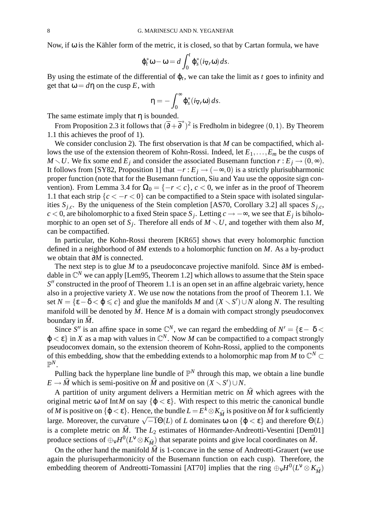Now, if  $\omega$  is the Kähler form of the metric, it is closed, so that by Cartan formula, we have

$$
\varphi_t^* \omega - \omega = d \int_0^t \varphi_s^* (i_{\nabla r} \omega) ds.
$$

By using the estimate of the differential of  $\varphi_t$ , we can take the limit as  $t$  goes to infinity and get that  $\omega = d\eta$  on the cusp E, with

$$
\eta=-\int_0^\infty \varphi_s^*(i_{\nabla r}\omega)\,ds.
$$

The same estimate imply that  $\eta$  is bounded.

From Proposition 2.3 it follows that  $(\overline{\partial} + \overline{\partial}^*)^2$  is Fredholm in bidegree  $(0,1)$ . By Theorem 1.1 this achieves the proof of 1).

We consider conclusion 2). The first observation is that *M* can be compactified, which allows the use of the extension theorem of Kohn-Rossi. Indeed, let *E*1,...,*E<sup>m</sup>* be the cusps of *M*  $\setminus$  *U*. We fix some end *E*<sub>*j*</sub> and consider the associated Busemann function *r* : *E*<sub>*j*</sub>  $\rightarrow$  (0, $\infty$ ). It follows from [SY82, Proposition 1] that  $-r$  :  $E_j$  → ( $-\infty$ , 0) is a strictly plurisubharmonic proper function (note that for the Busemann function, Siu and Yau use the opposite sign convention). From Lemma 3.4 for  $\Omega_0 = \{-r < c\}$ ,  $c < 0$ , we infer as in the proof of Theorem 1.1 that each strip  ${c < -r < 0}$  can be compactified to a Stein space with isolated singularities  $S_{j,c}$ . By the uniqueness of the Stein completion [AS70, Corollary 3.2] all spaces  $S_{j,c}$ , *c* < 0, are biholomorphic to a fixed Stein space  $S_j$ . Letting  $c \rightarrow -\infty$ , we see that  $E_j$  is biholomorphic to an open set of  $S_j$ . Therefore all ends of  $M \setminus U$ , and together with them also M, can be compactified.

In particular, the Kohn-Rossi theorem [KR65] shows that every holomorphic function defined in a neighborhood of ∂*M* extends to a holomorphic function on *M*. As a by-product we obtain that ∂*M* is connected.

The next step is to glue *M* to a pseudoconcave projective manifold. Since  $\partial M$  is embeddable in  $\mathbb{C}^N$  we can apply [Lem95, Theorem 1.2] which allows to assume that the Stein space S<sup>"</sup> constructed in the proof of Theorem 1.1 is an open set in an affine algebraic variety, hence also in a projective variety *X*. We use now the notations from the proof of Theorem 1.1. We set  $N = \{ \varepsilon - \delta < \varphi \leq c \}$  and glue the manifolds *M* and  $(X \setminus S') \cup N$  along *N*. The resulting manifold will be denoted by  $M$ . Hence  $M$  is a domain with compact strongly pseudoconvex boundary in  $\hat{M}$ .

Since *S*<sup>*n*</sup> is an affine space in some  $\mathbb{C}^N$ , we can regard the embedding of  $N' = {\epsilon - \delta}$  $\varphi < \varepsilon$  in *X* as a map with values in  $\mathbb{C}^N$ . Now *M* can be compactified to a compact strongly pseudoconvex domain, so the extension theorem of Kohn-Rossi, applied to the components of this embedding, show that the embedding extends to a holomorphic map from *M* to  $\mathbb{C}^N$   $\subset$  $\mathbb{P}^N$ .

Pulling back the hyperplane line bundle of  $\mathbb{P}^N$  through this map, we obtain a line bundle  $E \rightarrow \widehat{M}$  which is semi-positive on  $\widehat{M}$  and positive on  $(X \setminus S') \cup N$ .

A partition of unity argument delivers a Hermitian metric on  $\hat{M}$  which agrees with the original metric  $\omega$  of Int*M* on say  $\{\varphi < \varepsilon\}$ . With respect to this metric the canonical bundle of *M* is positive on  $\{\varphi < \varepsilon\}$ . Hence, the bundle  $L = E^k \otimes K_{\hat{M}}$  is positive on  $\hat{M}$  for *k* sufficiently large. Moreover, the curvature  $\sqrt{-1}\Theta(L)$  of *L* dominates  $\omega$  on  $\{\varphi < \varepsilon\}$  and therefore  $\Theta(L)$ is a complete metric on  $\hat{M}$ . The  $L_2$  estimates of Hörmander-Andreotti-Vesentini [Dem01] produce sections of  $\bigoplus_{v} H^0(L^v \otimes K_{\widehat{M}})$  that separate points and give local coordinates on  $\widehat{M}$ .

On the other hand the manifold  $\hat{M}$  is 1-concave in the sense of Andreotti-Grauert (we use again the plurisuperharmonicity of the Busemann function on each cusp). Therefore, the embedding theorem of Andreotti-Tomassini [AT70] implies that the ring  $\bigoplus_{\mathbf{v}} H^0(L^{\mathbf{v}} \otimes K_{\widehat{M}})$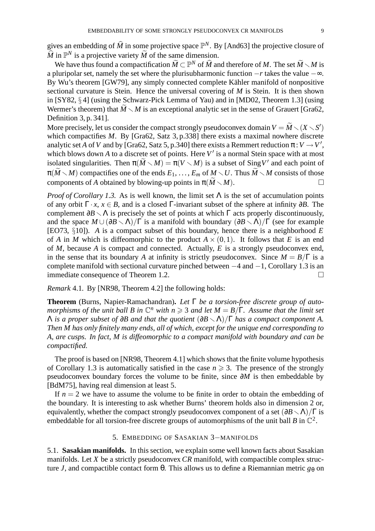gives an embedding of  $\hat{M}$  in some projective space  $\mathbb{P}^N$ . By [And63] the projective closure of  $\widehat{M}$  in  $\mathbb{P}^N$  is a projective variety  $\widetilde{M}$  of the same dimension.

We have thus found a compactification  $\widetilde{M} \subset \mathbb{P}^N$  of  $\widehat{M}$  and therefore of *M*. The set  $\widetilde{M} \setminus M$  is a pluripolar set, namely the set where the plurisubharmonic function −*r* takes the value −∞. By Wu's theorem [GW79], any simply connected complete Kähler manifold of nonpositive sectional curvature is Stein. Hence the universal covering of *M* is Stein. It is then shown in [SY82, § 4] (using the Schwarz-Pick Lemma of Yau) and in [MD02, Theorem 1.3] (using Wermer's theorem) that  $\widetilde{M} \setminus M$  is an exceptional analytic set in the sense of Grauert [Gra62, Definition 3, p. 341].

More precisely, let us consider the compact strongly pseudoconvex domain  $V = \widetilde{M} \smallsetminus (X \smallsetminus S')$ which compactifies *M*. By [Gra62, Satz 3, p.338] there exists a maximal nowhere discrete analytic set *A* of *V* and by [Gra62, Satz 5, p.340] there exists a Remmert reduction  $\pi: V \to V'$ , which blows down A to a discrete set of points. Here  $V'$  is a normal Stein space with at most isolated singularities. Then  $\pi(\widetilde{M} \setminus M) = \pi(V \setminus M)$  is a subset of Sing V' and each point of  $\pi(\widetilde{M}\setminus M)$  compactifies one of the ends  $E_1, \ldots, E_m$  of  $M \setminus U$ . Thus  $\widetilde{M} \setminus M$  consists of those components of *A* obtained by blowing-up points in  $\pi(\widetilde{M}\setminus M)$ .

*Proof of Corollary 1.3.* As is well known, the limit set Λ is the set of accumulation points of any orbit  $\Gamma \cdot x$ ,  $x \in B$ , and is a closed  $\Gamma$ -invariant subset of the sphere at infinity ∂*B*. The complement  $\partial B \setminus \Lambda$  is precisely the set of points at which  $\Gamma$  acts properly discontinuously, and the space  $M \cup (\partial B \setminus \Lambda)/\Gamma$  is a manifold with boundary  $(\partial B \setminus \Lambda)/\Gamma$  (see for example [EO73, §10]). *A* is a compact subset of this boundary, hence there is a neighborhood *E* of *A* in *M* which is diffeomorphic to the product  $A \times (0,1)$ . It follows that *E* is an end of *M*, because *A* is compact and connected. Actually, *E* is a strongly pseudoconvex end, in the sense that its boundary *A* at infinity is strictly pseudoconvex. Since  $M = B/\Gamma$  is a complete manifold with sectional curvature pinched between  $-4$  and  $-1$ , Corollary 1.3 is an immediate consequence of Theorem 1.2 immediate consequence of Theorem 1.2.

*Remark* 4.1*.* By [NR98, Theorem 4.2] the following holds:

**Theorem** (Burns, Napier-Ramachandran)**.** *Let* Γ *be a torsion-free discrete group of auto*morphisms of the unit ball B in  $\mathbb{C}^n$  with  $n \geq 3$  and let  $M = B/\Gamma$ . Assume that the limit set  $Λ$  *is a proper subset of*  $∂B$  *and that the quotient*  $(∂B \setminus Λ)/Γ$  *has a compact component A. Then M has only finitely many ends, all of which, except for the unique end corresponding to A, are cusps. In fact, M is diffeomorphic to a compact manifold with boundary and can be compactified.*

The proof is based on [NR98, Theorem 4.1] which shows that the finite volume hypothesis of Corollary 1.3 is automatically satisfied in the case  $n \geq 3$ . The presence of the strongly pseudoconvex boundary forces the volume to be finite, since ∂*M* is then embeddable by [BdM75], having real dimension at least 5.

If  $n = 2$  we have to assume the volume to be finite in order to obtain the embedding of the boundary. It is interesting to ask whether Burns' theorem holds also in dimension 2 or, equivalently, whether the compact strongly pseudoconvex component of a set  $(\partial B \setminus \Lambda)/\Gamma$  is embeddable for all torsion-free discrete groups of automorphisms of the unit ball *B* in  $\mathbb{C}^2$ .

# 5. EMBEDDING OF SASAKIAN 3−MANIFOLDS

5.1. **Sasakian manifolds.** In this section, we explain some well known facts about Sasakian manifolds. Let *X* be a strictly pseudoconvex *CR* manifold, with compactible complex structure *J*, and compactible contact form θ. This allows us to define a Riemannian metric  $g_\theta$  on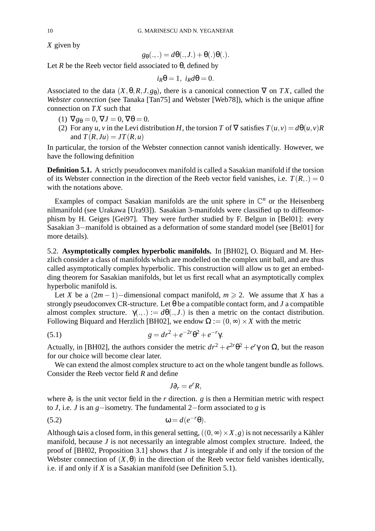*X* given by

$$
g_{\theta}(.,.)=d\theta(.,J.)+\theta(.)\theta(.).
$$

Let *R* be the Reeb vector field associated to  $\theta$ , defined by

$$
i_R\theta = 1, i_R d\theta = 0.
$$

Associated to the data  $(X, \theta, R, J, g_{\theta})$ , there is a canonical connection  $\nabla$  on *TX*, called the *Webster connection* (see Tanaka [Tan75] and Webster [Web78]), which is the unique affine connection on *TX* such that

- (1)  $\nabla g_{\theta} = 0$ ,  $\nabla J = 0$ ,  $\nabla \theta = 0$ .
- (2) For any *u*, *v* in the Levi distribution *H*, the torsion *T* of  $\nabla$  satisfies  $T(u, v) = d\theta(u, v)R$ and  $T(R, Ju) = JT(R, u)$

In particular, the torsion of the Webster connection cannot vanish identically. However, we have the following definition

**Definition 5.1.** A strictly pseudoconvex manifold is called a Sasakian manifold if the torsion of its Webster connection in the direction of the Reeb vector field vanishes, i.e.  $T(R, .) = 0$ with the notations above.

Examples of compact Sasakian manifolds are the unit sphere in  $\mathbb{C}^n$  or the Heisenberg nilmanifold (see Urakawa [Ura93]). Sasakian 3-manifolds were classified up to diffeomorphism by H. Geiges [Gei97]. They were further studied by F. Belgun in [Bel01]: every Sasakian 3−manifold is obtained as a deformation of some standard model (see [Bel01] for more details).

5.2. **Asymptotically complex hyperbolic manifolds.** In [BH02], O. Biquard and M. Herzlich consider a class of manifolds which are modelled on the complex unit ball, and are thus called asymptotically complex hyperbolic. This construction will allow us to get an embedding theorem for Sasakian manifolds, but let us first recall what an asymptotically complex hyperbolic manifold is.

Let *X* be a  $(2m-1)$ −dimensional compact manifold,  $m \ge 2$ . We assume that *X* has a strongly pseudoconvex CR-structure. Let  $\theta$  be a compatible contact form, and *J* a compatible almost complex structure.  $\gamma(.,.) := d\theta(.,J.)$  is then a metric on the contact distribution. Following Biquard and Herzlich [BH02], we endow  $\Omega := (0, \infty) \times X$  with the metric

(5.1) 
$$
g = dr^2 + e^{-2r}\theta^2 + e^{-r}\gamma.
$$

Actually, in [BH02], the authors consider the metric  $dr^2 + e^{2r}\theta^2 + e^r\gamma$  on  $\Omega$ , but the reason for our choice will become clear later.

We can extend the almost complex structure to act on the whole tangent bundle as follows. Consider the Reeb vector field *R* and define

$$
J\partial_r=e^rR,
$$

where ∂*<sup>r</sup>* is the unit vector field in the *r* direction. *g* is then a Hermitian metric with respect to *J*, i.e. *J* is an *g*−isometry. The fundamental 2−form associated to *g* is

(5.2) ω = *d*(*e* −*r* θ).

Although  $\omega$  is a closed form, in this general setting,  $((0, \infty) \times X, g)$  is not necessarily a Kähler manifold, because *J* is not necessarily an integrable almost complex structure. Indeed, the proof of [BH02, Proposition 3.1] shows that *J* is integrable if and only if the torsion of the Webster connection of  $(X, \theta)$  in the direction of the Reeb vector field vanishes identically, i.e. if and only if *X* is a Sasakian manifold (see Definition 5.1).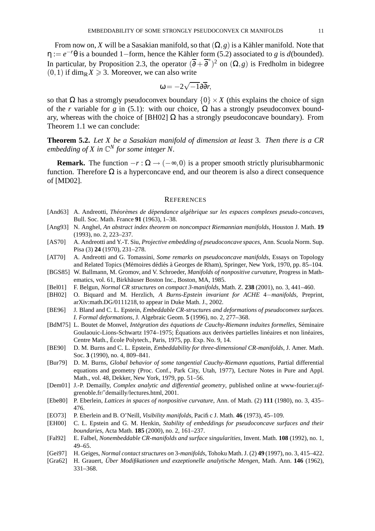From now on, *X* will be a Sasakian manifold, so that  $(\Omega, g)$  is a Kähler manifold. Note that  $\eta := e^{-r}\theta$  is a bounded 1–form, hence the Kähler form (5.2) associated to *g* is *d*(bounded). In particular, by Proposition 2.3, the operator  $(\overline{\partial} + \overline{\partial}^*)^2$  on  $(\Omega, g)$  is Fredholm in bidegree  $(0,1)$  if dim<sub>R</sub> $X \ge 3$ . Moreover, we can also write

$$
\omega = -2\sqrt{-1}\partial \overline{\partial} r,
$$

so that  $\Omega$  has a stromgly pseudoconvex boundary  $\{0\} \times X$  (this explains the choice of sign of the *r* variable for *g* in (5.1): with our choice,  $\Omega$  has a strongly pseudoconvex boundary, whereas with the choice of [BH02]  $\Omega$  has a strongly pseudoconcave boundary). From Theorem 1.1 we can conclude:

**Theorem 5.2.** *Let X be a Sasakian manifold of dimension at least* 3*. Then there is a CR embedding of X in* C *<sup>N</sup> for some integer N.*

**Remark.** The function  $-r : \Omega \to (-\infty, 0)$  is a proper smooth strictly plurisubharmonic function. Therefore  $\Omega$  is a hyperconcave end, and our theorem is also a direct consequence of [MD02].

#### **REFERENCES**

- [And63] A. Andreotti, *Theor ´ emes ` de dependance ´ algebrique ´ sur les espaces complexes pseudo-concaves*, Bull. Soc. Math. France **91** (1963), 1–38.
- [Ang93] N. Anghel, *An abstract index theorem on noncompact Riemannian manifolds*, Houston J. Math. **19** (1993), no. 2, 223–237.
- [AS70] A. Andreotti and Y.-T. Siu, *Projective embedding of pseudoconcave spaces*, Ann. Scuola Norm. Sup. Pisa (3) **24** (1970), 231–278.
- [AT70] A. Andreotti and G. Tomassini, *Some remarks on pseudoconcave manifolds*, Essays on Topology and Related Topics (Mémoires dédiés à Georges de Rham), Springer, New York, 1970, pp. 85–104.
- [BGS85] W. Ballmann, M. Gromov, and V. Schroeder, *Manifolds of nonpositive curvature*, Progress in Mathematics, vol. 61, Birkhäuser Boston Inc., Boston, MA, 1985.
- [Bel01] F. Belgun, *Normal CR structures on compact 3-manifolds*, Math. Z. **238** (2001), no. 3, 441–460.
- [BH02] O. Biquard and M. Herzlich, *A Burns-Epstein invariant for ACHE* 4−*manifolds*, Preprint, arXiv:math.DG/0111218, to appear in Duke Math. J., 2002.
- [BE96] J. Bland and C. L. Epstein, *Embeddable CR-structures and deformations of pseudoconvex surfaces. I. Formal deformations*, J. Algebraic Geom. **5** (1996), no. 2, 277–368.
- [BdM75] L. Boutet de Monvel, *Integr ´ ation des equations ´ de Cauchy-Riemann induites formelles*, Seminaire ´ Goulaouic-Lions-Schwartz 1974–1975; Équations aux derivées partielles linéaires et non linéaires, Centre Math., École Polytech., Paris, 1975, pp. Exp. No. 9, 14.
- [BE90] D. M. Burns and C. L. Epstein, *Embeddability for three-dimensional CR-manifolds*, J. Amer. Math. Soc. **3** (1990), no. 4, 809–841.
- [Bur79] D. M. Burns, *Global behavior of some tangential Cauchy-Riemann equations*, Partial differential equations and geometry (Proc. Conf., Park City, Utah, 1977), Lecture Notes in Pure and Appl. Math., vol. 48, Dekker, New York, 1979, pp. 51–56.
- [Dem01] J.-P. Demailly, *Complex analytic and differential geometry*, published online at www-fourier.ujfgrenoble.fr/˜demailly/lectures.html, 2001.
- [Ebe80] P. Eberlein, *Lattices in spaces of nonpositive curvature*, Ann. of Math. (2) **111** (1980), no. 3, 435– 476.
- [EO73] P. Eberlein and B. O'Neill, *Visibility manifolds*, Pacific J. Math. **46** (1973), 45–109.
- [EH00] C. L. Epstein and G. M. Henkin, *Stability of embeddings for pseudoconcave surfaces and their boundaries*, Acta Math. **185** (2000), no. 2, 161–237.
- [Fal92] E. Falbel, *Nonembeddable CR-manifolds and surface singularities*, Invent. Math. **108** (1992), no. 1, 49–65.
- [Gei97] H. Geiges, *Normal contactstructures on* 3*-manifolds*, Tohoku Math. J. (2) **49** (1997), no. 3, 415–422.
- [Gra62] H. Grauert, *Über Modifikationen und exzeptionelle analytische Mengen*, Math. Ann. 146 (1962), 331–368.